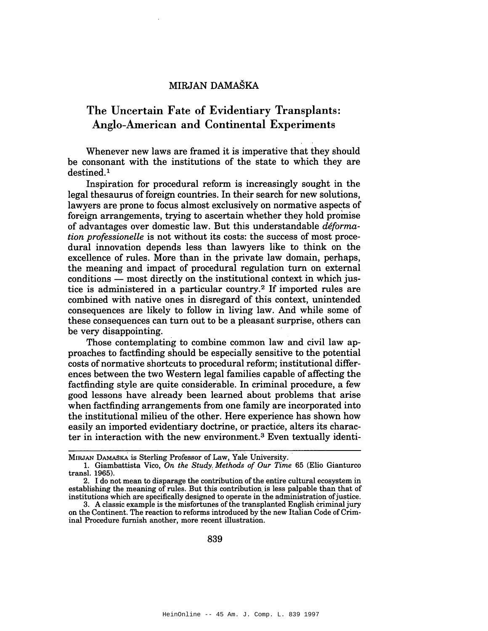## MIRJAN DAMASKA

## The Uncertain Fate of Evidentiary Transplants: Anglo-American and Continental Experiments

Whenever new laws are framed it is imperative that they should be consonant with the institutions of the state to which they are destined.<sup>1</sup>

Inspiration for procedural reform is increasingly sought in the legal thesaurus of foreign countries. In their search for new solutions, lawyers are prone to focus almost exclusively on normative aspects of foreign arrangements, trying to ascertain whether they hold promise of advantages over domestic law. But this understandable *deformation professionelle* is not without its costs: the success of most procedural innovation depends less than lawyers like to think on the excellence of rules. More than in the private law domain, perhaps, the meaning and impact of procedural regulation turn on external  $conditions$  — most directly on the institutional context in which justice is administered in a particular country.2 If imported rules are combined with native ones in disregard of this context, unintended consequences are likely to follow in living law. And while some of these consequences can turn out to be a pleasant surprise, others can be very disappointing.

Those contemplating to combine common law and civil law approaches to factfinding should be especially sensitive to the potential costs of normative shortcuts to procedural reform; institutional differences between the two Western legal families capable of affecting the factfinding style are quite considerable. In criminal procedure, a few good lessons have already been learned about problems that arise when factfinding arrangements from one family are incorporated into the institutional milieu of the other. Here experience has shown how easily an imported evidentiary doctrine, or practice, alters its character in interaction with the new environment.<sup>3</sup> Even textually identi-

MIRJAN DAMASKA is Sterling Professor of Law, Yale University..

<sup>1.</sup> Giambattista Vico, *On the Study, Methods of Our Time* 65 (Elio Gianturco transl. 1965).

<sup>2.</sup> I do not mean to disparage the contribution of the entire cultural ecosystem in establishing the meaning of rules. But this contribution is less palpable than that of institutions which are specifically designed to operate in the administration of justice.

<sup>3.</sup> A classic example is the misfortunes of the transplanted English criminal jury on the Continent. The reaction to reforms introduced by the new Italian Code of Criminal Procedure furnish another, more recent illustration.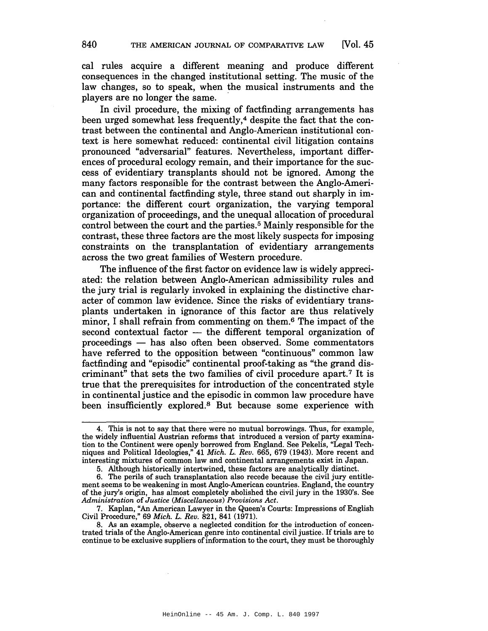cal rules acquire a different meaning and produce different consequences in the changed institutional setting. The music of the law changes, so to speak, when the musical instruments and the players are no longer the same. .

In civil procedure, the mixing of factfinding arrangements has been urged somewhat less frequently,<sup>4</sup> despite the fact that the contrast between the continental and Anglo-American institutional context is here somewhat reduced: continental civil litigation contains pronounced "adversarial" features. Nevertheless, important differences of procedural ecology remain, and their importance for the success of evidentiary transplants should not be ignored. Among the many factors responsible for the contrast between the Anglo-American and continental factfinding style, three stand out sharply in importance: the different court organization, the varying temporal organization of proceedings, and the unequal allocation of procedural control between the court and the parties. <sup>5</sup> Mainly responsible for the contrast, these three factors are the most likely suspects for imposing constraints on the transplantation of evidentiary arrangements across the two great families of Western procedure.

The influence of the first factor on evidence law is widely appreciated: the relation between Anglo-American admissibility rules and the jury trial is regularly invoked in explaining the distinctive character of common law evidence. Since the risks of evidentiary transplants undertaken in ignorance of this factor are thus relatively minor, I shall refrain from commenting on them.6 The impact of the  $second$  contextual factor  $-$  the different temporal organization of proceedings - has also often been observed. Some commentators have referred to the opposition between "continuous" common law factfinding and "episodic" continental proof-taking as "the grand discriminant" that sets the two families of civil procedure apart.7 It is true that the prerequisites for introduction of the concentrated style in continental justice and the episodic in common law procedure have been insufficiently explored.<sup>8</sup> But because some experience with

<sup>4.</sup> This is not to say that there were no mutual borrowings. Thus, for example, the widely influential Austrian reforms that introduced a version of party examination to the Continent were openly borrowed from England. See Pekelis, "Legal Techniques and Political Ideologies," 41 *Mich. L. Rev.* 665, 679 (1943). More recent and interesting mixtures of common law and continental arrangements exist in Japan.

<sup>5.</sup> Although historically intertwined, these factors are analytically distinct.

<sup>6.</sup> The perils of such transplantation also recede because the civil jury entitlement seems to be weakening in most Anglo-American countries. England, the country of the jury's origin, has almost completely abolished the civil jury in the 1930's. See *Administration* of *Justice (Miscellaneous) Provisions Act.*

<sup>7.</sup> Kaplan, "An American Lawyer in the Queen's Courts: Impressions of English Civil Procedure," 69 *Mich. L. Rev.* 821, 841 (1971).

<sup>8.</sup> As an example, observe a neglected condition for the introduction of concentrated trials ofthe Anglo-American genre into continental civil justice. Iftrials are to continue to be exclusive suppliers of information to the court, they must be thoroughly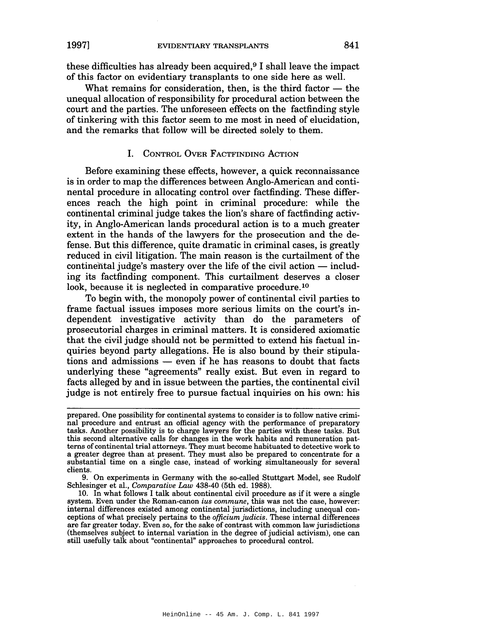these difficulties has already been acquired,9 I shall leave the impact of this factor on evidentiary transplants to one side here as well.

What remains for consideration, then, is the third factor  $-$  the unequal allocation of responsibility for procedural action between the court and the parties. The unforeseen effects on the factfinding style of tinkering with this factor seem to me most in need of elucidation, and the remarks that follow will be directed solely to them.

## I. CONTROL OVER FACTFINDING ACTION

Before examining these effects, however, a quick reconnaissance is in order to map the differences between Anglo-American and continental procedure in allocating control over factfinding. These differences reach the high point in criminal procedure: while the continental criminal judge takes the lion's share of factfinding activity, in Anglo-American lands procedural action is to a much greater extent in the hands of the lawyers for the prosecution and the defense. But this difference, quite dramatic in criminal cases, is greatly reduced in civil litigation. The main reason is the curtailment of the continental judge's mastery over the life of the civil action  $-$  including its factfinding component. This curtailment deserves a closer look, because it is neglected in comparative procedure.<sup>10</sup>

To begin with, the monopoly power of continental civil parties to frame factual issues imposes more serious limits on the court's independent investigative activity than do the parameters of prosecutorial charges in criminal matters. It is considered axiomatic that the civil judge should not be permitted to extend his factual inquiries beyond party allegations. He is also bound by their stipula $tions$  and admissions  $-$  even if he has reasons to doubt that facts underlying these "agreements" really exist. But even in regard to facts alleged by and in issue between the parties, the continental civil judge is not entirely free to pursue factual inquiries on his own: his

9. On experiments in Germany with the so-called Stuttgart Model, see Rudolf Schlesinger et aI., *Comparative Law* 438-40 (5th ed. 1988).

10. In what follows I talk about continental civil procedure as if it were a single system. Even under the Roman-canon *ius commune,* this was not the case, however: internal differences existed among continental jurisdictions, including unequal conceptions of what precisely pertains to the *officium judicis.* These internal differences are far greater today. Even so, for the sake of contrast with common law jurisdictions (themselves subject to internal variation in the degree of judicial activism), one can still usefully talk about "continental" approaches to procedural control.

prepared. One possibility for continental systems to consider is to follow native criminal procedure and entrust an official agency with the performance of preparatory tasks. Another possibility is to charge lawyers for the parties with these tasks. But this second alternative calls for changes in the work habits and remuneration patterns of continental trial attorneys. They must become habituated to detective work to a greater degree than at present. They must also be prepared to concentrate for a substantial time on a single case, instead of working simultaneously for several clients.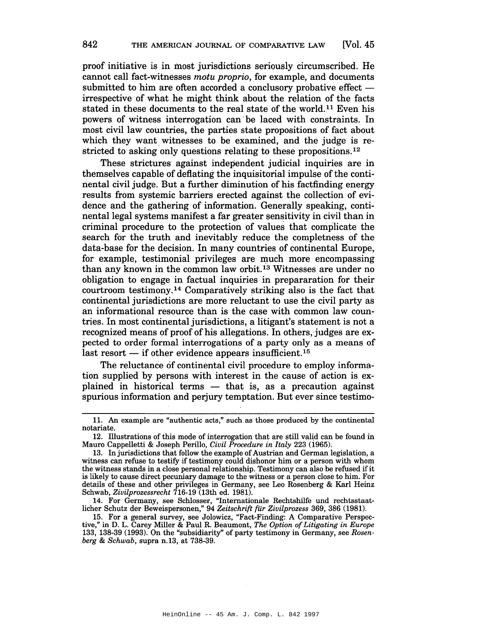proof initiative is in most jurisdictions seriously circumscribed. He cannot call fact-witnesses *motu proprio,* for example, and documents submitted to him are often accorded a conclusory probative effect -irrespective of what he might think about the relation of the facts stated in these documents to the real state of the world.<sup>11</sup> Even his powers of witness interrogation can' be laced with constraints. In most civil law countries, the parties state propositions of fact about which they want witnesses to be examined, and the judge is restricted to asking only questions relating to these propositions.<sup>12</sup>

These strictures against independent judicial inquiries are in themselves capable of deflating the inquisitorial impulse of the continental civil judge. But a further diminution of his factfinding energy results from systemic barriers erected against the collection of evidence and the gathering of information. Generally speaking, continental legal systems manifest a far greater sensitivity in civil than in criminal procedure to the protection of values that complicate the search for the truth and inevitably reduce the completness of the data-base for the decision. In many countries of continental Europe, for example, testimonial privileges are much more encompassing than any known in the common law orbit.<sup>13</sup> Witnesses are under no obligation to engage in factual inquiries in prepararation for their courtroom testimony.14 Comparatively striking also is the fact that continental jurisdictions are more reluctant to use the civil party as an informational resource than is the case with common law countries. In most continental jurisdictions, a litigant's statement is not a recognized means of proof of his allegations. In others, judges are expected to order formal interrogations of a party only as a means of last resort  $-$  if other evidence appears insufficient.<sup>15</sup>

The reluctance of continental civil procedure to employ information supplied by persons with interest in the cause of action is explained in historical terms  $-$  that is, as a precaution against spurious information and perjury temptation. But ever since testimo-

<sup>11.</sup> An example are "authentic acts," such as those produced by the continental notariate.

<sup>12.</sup> Illustrations of this mode of interrogation that are still valid can be found in Mauro Cappelletti & Joseph Perillo, *Civil Procedure in Italy* 223 (1965).

<sup>13.</sup> In jurisdictions that follow the example of Austrian and German legislation, a witness can refuse to testify if testimony could dishonor him or a person with whom the witness stands in a close personal relationship. Testimony can also be refused ifit is likely to cause direct pecuniary damage to the witness or a person close to him. For details of these and other privileges in Germany, see Leo Rosenberg & Karl Heinz Schwab, *Zivilprozessrecht* 716-19 (13th ed. 1981).

<sup>14.</sup> For' Germany, see Schlosser, "Internationale Rechtshilfe und rechtsstaatlicher Schutz der Beweispersonen," 94 *Zeitschri{t fiir Zivilprozess* 369, 386 (1981).

<sup>15.</sup> For a general survey, see Jolowicz, "Fact-Finding: A Comparative Perspective," in D. L. Carey Miller & Paul R. Beaumont, *The Option ofLitigating in Europe* 133, 138-39 (1993). On the "subsidiarity" of party testimony in Germany, see *Rosenberg* & *Schwab,* supra n.13, at 738-39.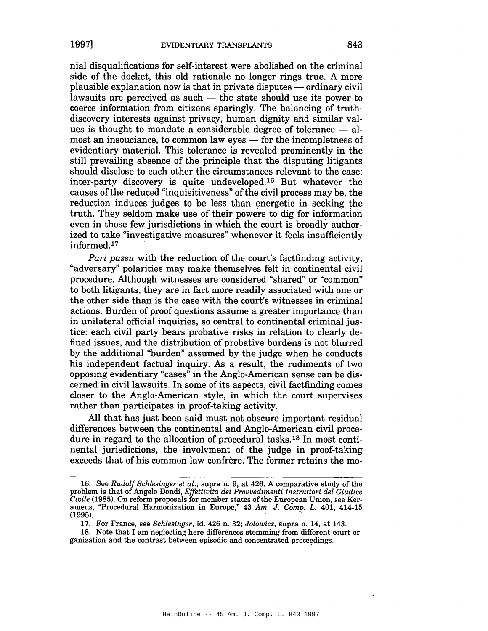nial disqualifications for self-interest were abolished on the criminal side of the docket, this old rationale no longer rings true. A more plausible explanation now is that in private disputes - ordinary civil lawsuits are perceived as such  $-$  the state should use its power to coerce information from citizens sparingly. The balancing of truthdiscovery interests against privacy, human dignity and similar values is thought to mandate a considerable degree of tolerance  $-$  al $most an\, insource, to common law eyes — for the incompleteness of$ evidentiary material. This tolerance is revealed prominently in the still prevailing absence of the principle that the disputing litigants should disclose to each other the circumstances relevant to the case: inter-party discovery is quite undeveloped. <sup>16</sup> But whatever the causes of the reduced "inquisitiveness" of the civil process may be, the reduction induces judges to be less than energetic in seeking the truth. They seldom make use of their powers to dig for information even in those few jurisdictions in which the court is broadly authorized to take "investigative measures" whenever it feels insufficiently informed.<sup>17</sup>

*Pari passu* with the reduction of the court's factfinding activity, "adversary" polarities may make themselves felt in continental civil procedure. Although witnesses are considered "shared" or "common" to both litigants, they are in fact more readily associated with one or the other side than is the case with the court's witnesses in criminal actions. Burden of proof questions assume a greater importance than in unilateral official inquiries, so central to continental criminal justice: each civil party bears probative risks in relation to clearly defined issues, and the distribution of probative burdens is not blurred by the additional "burden" assumed by the judge when he conducts his independent factual inquiry. As a result, the rudiments of two opposing evidentiary "cases" in the Anglo-American sense can be discerned in civil lawsuits. In some of its aspects, civil factfinding comes closer to the Anglo-American style, in which the 'court supervises rather than participates in proof-taking activity.

All that has just been said must not obscure important residual differences between the continental and Anglo-American civil procedure in regard to the allocation of procedural tasks. <sup>18</sup> In most continental jurisdictions, the involvment of the judge in proof-taking exceeds that of his common law confrère. The former retains the mo-

<sup>16.</sup> See *Rudolf Schlesinger et al.,* supra n. 9, at 426. A comparative study of the problem is that of Angelo Dondi, *Effettivita dei Provvedimenti Instruttori del Giudice Civile* (1985). On reform proposals for member states ofthe European Union, see Kerameus, "Procedural Harmonization in Europe," 43 Am. J. Comp. L. 401, 414-15  $(1995)$ .

<sup>17.</sup> For France, see *Schlesinger,* id. 426 n. 32; *Jolowicz,* supra n. 14, at 143.

<sup>18.</sup> Note that I am neglecting here differences stemming from different court organization and the contrast between episodic and concentrated proceedings.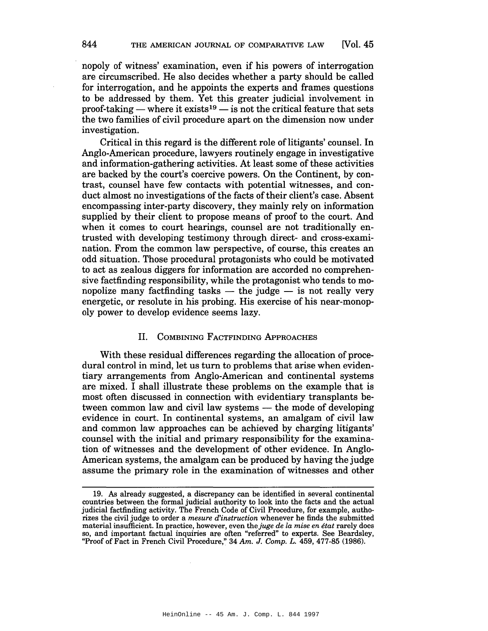nopoly of witness' examination, even if his powers of interrogation are circumscribed. He also decides whether a party should be called for interrogation, and he appoints the experts and frames questions to be addressed by them. Yet this greater judicial involvement in proof-taking — where it exists<sup>19</sup> — is not the critical feature that sets the two families of civil procedure apart on the dimension now under investigation.

Critical in this regard is the different role of litigants' counsel. In Anglo-American procedure, lawyers routinely engage in investigative and information-gathering activities. At least some of these activities are backed by the court's coercive powers. On the Continent, by contrast, counsel have few contacts with potential witnesses, and conduct almost no investigations of the facts of their client's case. Absent encompassing inter-party discovery, they mainly rely on information supplied by their client to propose means of proof to the court. And when it comes to court hearings, counsel are not traditionally entrusted with developing testimony through direct- and cross-examination. From the common law perspective, of course, this creates an odd situation. Those procedural protagonists who could be motivated to act as zealous diggers for information are accorded no comprehensive factfinding responsibility, while the protagonist who tends to monopolize many factfinding tasks  $-$  the judge  $-$  is not really very energetic, or resolute in his probing. His exercise of his near-monopoly power to develop evidence seems lazy.

## II. COMBINING FACTFINDING APPROACHES

With these residual differences regarding the allocation of procedural control in mind, let us turn to problems that arise when evidentiary arrangements from Anglo-American and continental systems are mixed. I shall illustrate these problems on the example that is most often discussed in connection with evidentiary transplants between common law and civil law systems - the mode of developing evidence in court. In continental systems, an amalgam of civil law and common law approaches can be achieved by charging litigants' counsel with the initial and primary responsibility for the examination of witnesses and the development of other evidence. In Anglo-American systems, the amalgam can be produced by having the judge assume the primary role in the examination of witnesses and other

<sup>19.</sup> As already suggested, a discrepancy can be identified in several continental countries between the formal judicial authority to look into the facts and the actual judicial factfinding activity. The French Code of Civil Procedure, for example, authorizes the civil judge to order a *mesure d'instruction* whenever he finds the submitted material insufficient. In practice, however, even *thejuge de la mise en etat* rarely does so, and important factual inquiries are often "referred" to experts. See Beardsley, "Proof of Fact in French Civil Procedure," 34 Am. J. Comp. L. 459, 477-85 (1986).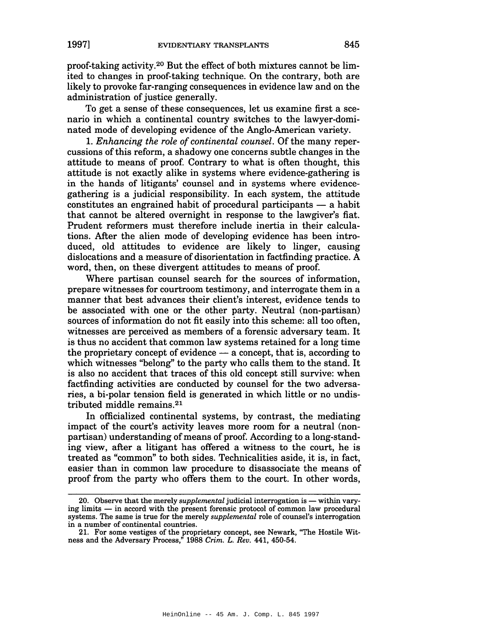proof-taking activity.20 But the effect of both mixtures cannot be limited to changes in proof-taking technique. On the contrary, both are likely to provoke far-ranging consequences in evidence law and on the administration of justice generally.

To get a sense of these consequences, let us examine first a scenario in which a continental country switches to the lawyer-dominated mode of developing evidence of the Anglo-American variety.

1. *Enhancing the role of continental counsel.* Of the many repercussions ofthis reform, a shadowy one concerns subtle changes in the attitude to means of proof. Contrary to what is often thought, this attitude is not exactly alike in systems where evidence-gathering is in the hands of litigants' counsel and in systems where evidencegathering is a judicial responsibility. In each system, the attitude  $constitutes$  an engrained habit of procedural participants  $-$  a habit that cannot be altered overnight in response to the lawgiver's fiat. Prudent reformers must therefore include inertia in their calculations. After the alien mode of developing evidence has been introduced, old attitudes to evidence are likely to linger, causing dislocations and a measure of disorientation in factfinding practice. A word, then, on these divergent attitudes to means of proof.

Where partisan counsel search for the sources of information, prepare witnesses for courtroom testimony, and interrogate them in a manner that best advances their client's interest, evidence tends to be associated with one or the other party. Neutral (non-partisan) sources of information do not fit easily into this scheme: all too often, witnesses are perceived as members of a forensic adversary team. It is thus no accident that common law systems retained for a long time the proprietary concept of evidence  $-$  a concept, that is, according to which witnesses "belong" to the party who calls them to the stand. It is also no accident that traces of this old concept still survive: when factfinding activities are conducted by counsel for the two adversaries, a bi-polar tension field is generated in which little or no undistributed middle remains.21

In officialized continental systems, by contrast, the mediating impact of the court's activity leaves more room for a neutral (nonpartisan) understanding of means of proof. According to a long-standing view, after a litigant has offered a witness to the court, he is treated as "common" to both sides. Technicalities aside, it is, in fact, easier than in common law procedure to disassociate the means of proof from the party who offers them to the court. In other words,

<sup>20.</sup> Observe that the merely *supplemental* judicial interrogation is — within varying limits - in accord with the present forensic protocol of common law procedural systems. The same is true for the merely *supplemental* role of counsel's interrogation in a number of continental countries.

<sup>21.</sup> For some vestiges of the proprietary concept, see Newark, "The Hostile Witness and the Adversary Process," 1988 *Crim. L. Rev.* 441, 450-54.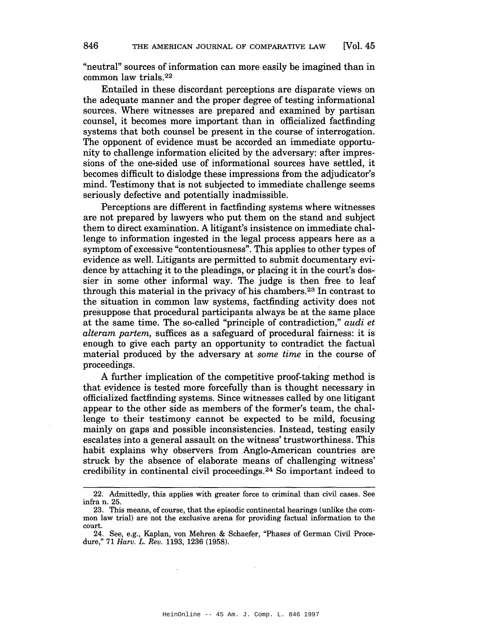"neutral" sources of information can more easily be imagined than in common law trials. <sup>22</sup>

Entailed in these discordant perceptions are disparate views on the adequate manner and the proper degree of testing informational sources. Where witnesses are prepared and examined by partisan counsel, it becomes more important than in officialized factfinding systems that both counsel be present in the course of interrogation. The opponent of evidence must be accorded an immediate opportunity to challenge information elicited by the adversary: after impressions of the one-sided use of informational sources have settled, it becomes difficult to dislodge these impressions from the adjudicator's mind. Testimony that is not subjected to immediate challenge seems seriously defective and potentially inadmissible.

Perceptions are different in factfinding systems where witnesses are not prepared by lawyers who put them on the stand and subject them to direct examination. A litigant's insistence on immediate challenge to information ingested in the legal process appears here as a symptom of excessive "contentiousness". This applies to other types of evidence as well. Litigants are permitted to submit documentary evidence by attaching it to the pleadings, or placing it in the court's dossier in some other informal way. The judge is then free to leaf through this material in the privacy of his chambers. <sup>23</sup> In contrast to the situation in common law systems, factfinding activity does not presuppose that procedural participants always be at the same place at the same time. The so-called "principle of contradiction," *audi et alteram partem,* suffices as a safeguard of procedural fairness: it is enough to give each party an opportunity to contradict the factual material produced by the adversary at *some time* in the course of proceedings.

A further implication of the competitive proof-taking method is that evidence is tested more forcefully than is thought necessary in officialized factfinding systems. Since witnesses called by one litigant appear to the other side as members of the former's team, the challenge to their testimony cannot be expected to be mild, focusing mainly on gaps and possible inconsistencies. Instead, testing easily escalates into a general assault on the witness' trustworthiness. This habit explains why observers from Anglo-American countries are struck by the absence of elaborate means of challenging witness' credibility in continental civil proceedings.24 So important indeed to

 $\ddot{\phantom{a}}$ 

<sup>22.</sup> Admittedly, this applies with greater force to criminal than civil cases. See infra n. 25.

<sup>23.</sup> This means, of course, that the episodic continental hearings (unlike the common law trial) are not the exclusive arena for providing factual information to the court.

<sup>24.</sup> See, e.g., Kaplan, von Mehren & Schaefer, "Phases of German Civil Procedure," 71 *Harv. L. Rev.* 1193, 1236 (1958).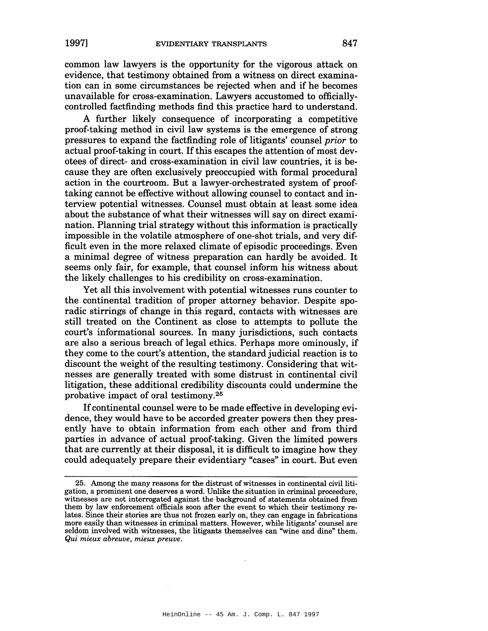common law lawyers is the opportunity for the vigorous attack on evidence, that testimony obtained from a witness on direct examination can in some circumstances be rejected when and if he becomes unavailable for cross-examination..Lawyers accustomed to officiallycontrolled factfinding methods find this practice hard to understand.

A further likely consequence of incorporating a competitive proof-taking method in civil law systems is the emergence of strong pressures to expand the factfinding role of litigants' counsel *prior* to actual proof-taking in court. If this escapes the attention of most devotees of direct- and cross-examination in civil law countries, it is because they are often exclusively preoccupied with formal procedural action in the courtroom. But a lawyer-orchestrated system of prooftaking cannot be effective without allowing counsel to contact and interview potential witnesses. Counsel must obtain at least some idea about the substance of what their witnesses will say on direct examination. Planning trial strategy without this information is practically impossible in the volatile atmosphere of one-shot trials, and very difficult even in the more relaxed climate of episodic proceedings. Even a minimal degree of witness preparation can hardly be avoided. It seems only fair, for example, that counsel inform his witness about the likely challenges to his credibility on cross-examination.

Yet all this involvement with potential witnesses runs counter to the. continental tradition of proper attorney behavior. Despite sporadic stirrings of change in this regard, contacts with witnesses are still treated on the Continent as close to attempts to pollute the court's informational sources. In many jurisdictions, such contacts are also a serious breach of legal ethics. Perhaps more ominously, if they come to the court's attention, the standard judicial reaction is to discount the weight of the resulting testimony. Considering that witnesses are generally treated with some distrust in continental civil litigation, these additional credibility discounts could undermine the probative impact of oral testimony.<sup>25</sup>

If continental counsel were to be made effective in developing evidence, they would have to be accorded greater powers then they presently have to obtain information from each other and from· third parties in advance of actual proof-taking. Given the limited powers that are currently at their disposal, it is difficult to imagine how they could adequately prepare their evidentiary "cases" in court. But even

<sup>25.</sup> Among the many reasons for the distrust of witnesses in continental civillitigation, a prominent one deserves a word. Unlike the situation in criminal proceedure, witnesses are not interrogated against the background of statements obtained from them by law enforcement officials soon after the event to which their testimony relates. Since their stories are thus not frozen early on, they can engage in fabrications more easily than witnesses in criminal matters. However, while litigants' counsel are seldom involved with witnesses, the litigants themselves can "wine and dine" them. *Qui mieux abreuve, mieux preuve. .*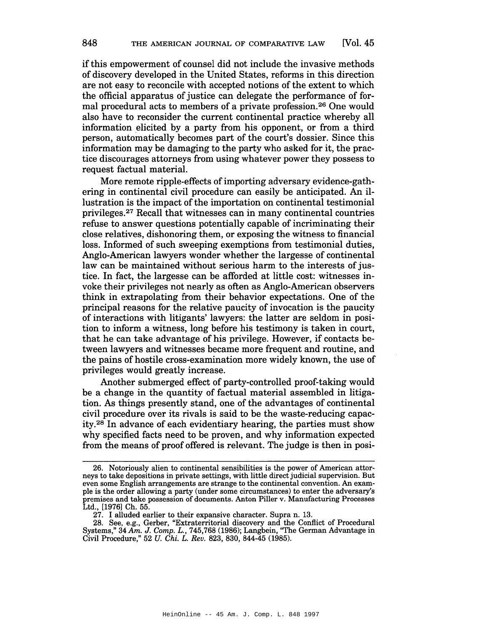if this empowerment of counsel did not include the invasive methods of discovery developed in the United States, reforms in this direction are not easy to reconcile with accepted notions of the extent to which the official apparatus of justice can delegate the performance of formal procedural acts to members of a private profession.26 One would also have to reconsider the current continental practice whereby all information elicited by a party from his opponent, or from a third person, automatically becomes part of the court's dossier. Since this information may be damaging to the party who asked for it, the practice discourages attorneys from using whatever power they possess to request factual material.

More remote ripple-effects of importing adversary evidence-gathering in continental civil procedure can easily be anticipated. An illustration is the impact of the importation on continental testimonial privileges.27 Recall that witnesses can in many continental countries refuse to answer questions potentially capable of incriminating their close relatives, dishonoring them, or exposing the witness to financial loss. Informed of such sweeping exemptions from testimonial duties, Anglo-American lawyers wonder whether the largesse of continental law can be maintained without serious harm to the interests of justice. In fact, the largesse can be afforded at little cost: witnesses invoke their privileges not nearly as often as Anglo-American observers think in extrapolating from their behavior expectations. One of the principal reasons for the relative paucity of invocation is the paucity of interactions with litigants' lawyers: the latter are seldom in position to inform a witness, long before his testimony is taken in court, that he can take advantage of his privilege. However, if contacts between lawyers and witnesses became more frequent and routine, and the pains of hostile cross-examination more widely known, the use of privileges would greatly increase.

Another submerged effect of party-controlled proof-taking would be a change in the quantity of factual material assembled in litigation. As things presently stand, one of the advantages of continental civil procedure over its rivals is said to be the waste-reducing capacity.28 In advance of each evidentiary hearing, the parties must show why specified facts need to be proven, and why information expected from the means of proof offered is relevant. The judge is then in posi-

<sup>26.</sup> Notoriously alien to continental sensibilities is the power of American attorneys to take depositions in private settings, with little direct judicial supervision. But even some English arrangements are strange to the continental convention. An example is the order allowing a party (under some circumstances) to enter the adversary's premises and take possession of documents. Anton Piller v. Manufacturing Processes Ltd., [1976] Ch. 55.

<sup>27.</sup> I alluded earlier to their expansive character. Supra n. 13.

<sup>28.</sup> See, e.g., Gerber, "Extraterritorial discovery and the Conflict of Procedural Systems," 34 *Am. J. Comp. L.*, 745,768 (1986); Langbein, "The German Advantage in Civil Procedure," 52 *U. Chi. L. Rev.* 823, 830, 844-45 (1985).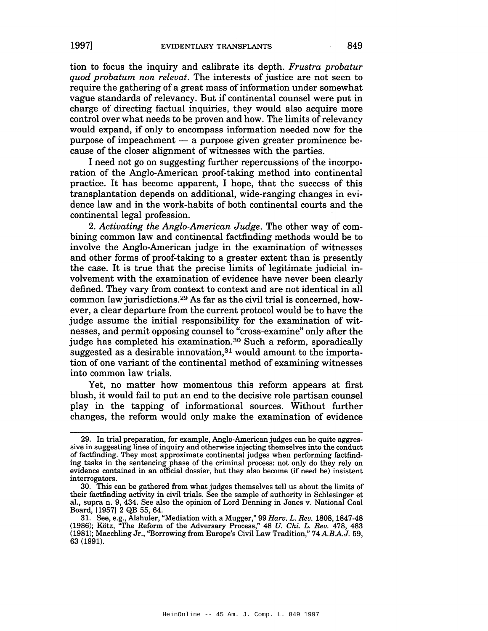tion to focus the inquiry and calibrate its depth. *Frustra probatur quod probatum non relevat.* The interests of justice are not seen to require the gathering of a great mass of information under somewhat vague standards of relevancy. But if continental counsel were put in charge of directing factual inquiries, they would also acquire more control over what needs to be proven and how. The limits of relevancy would expand, if only to encompass information needed now for the purpose of impeachment  $-$  a purpose given greater prominence because of the closer alignment of witnesses with the parties.

I need not go on suggesting further repercussions of the incorporation of the Anglo-American proof-taking method into continental practice. It has become apparent, I hope, that the success of this transplantation depends on additional, wide-ranging changes in evidence law and in the work-habits of both continental courts and the continental legal profession.

*2. Activating the Anglo-American Judge.* The other way of combining common law and continental factfinding methods would be to involve the Anglo-American judge in the examination of witnesses and other forms of proof-taking to a greater extent than is presently the case. It is true that the precise limits of legitimate judicial involvement with the examination of evidence have never been clearly defined. They vary from context to context and are not identical in all common law jurisdictions.29 As far as the civil trial is concerned, however, a clear departure from the current protocol would be to have the judge assume the initial responsibility for the examination of witnesses, and permit opposing counsel to "cross-examine" only after the judge has completed his examination.<sup>30</sup> Such a reform, sporadically suggested as a desirable innovation, $31$  would amount to the importation of one variant of the continental method of examining witnesses into common law trials.

Yet, no matter how momentous this reform appears at first blush, it would fail to put an end to the decisive role partisan counsel play in the tapping of informational sources. Without further changes, the reform would only make the examination of evidence

<sup>29.</sup> In trial preparation, for example, Anglo-American judges can be quite aggressive in suggesting lines of inquiry and otherwise injecting themselves into the conduct of factfinding. They most approximate continental judges when performing factfinding tasks in the sentencing phase of the criminal process: not only do they rely on evidence contained in an official dossier, but they also become (if need be) insistent interrogators.

<sup>30.</sup> This can be gathered from what judges themselves tell us about the limits of their factfinding activity in civil trials. See the sample of authority in Schlesinger et al., supra n. 9, 434. See also the opinion of Lord Denning in Jones v. National Coal Board, [19571 2 QB 55, 64.

<sup>31.</sup> See, e.g., Alshuler, "Mediation with a Mugger," 99 *Harv. L. Rev.* 1808,1847-48 (1986); Kotz, "The Reform of the Adversary Process," 48 *U. Chi. L. Rev.* 478, 483 (1981); Maechling Jr., "Borrowing from Europe's Civil Law Tradition," 74 *A.B.A.J.* 59, 63 (1991).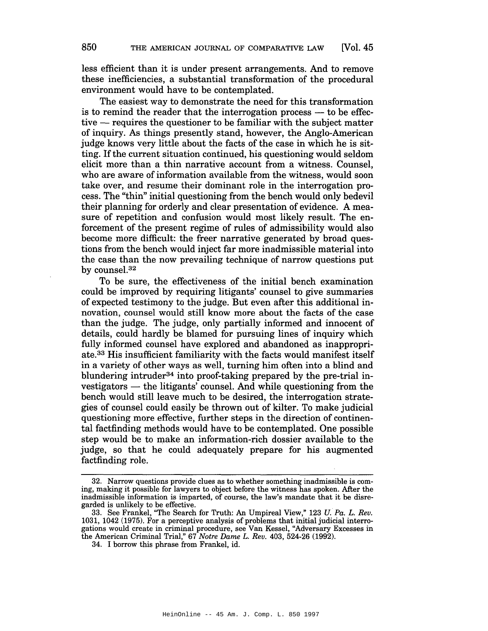less efficient than it is under present arrangements. And to remove these inefficiencies, a substantial transformation of the procedural environment would have to be contemplated.

The easiest way to demonstrate the need for this transformation is to remind the reader that the interrogation process  $-$  to be effective — requires the questioner to be familiar with the subject matter of inquiry. As things presently stand, however, the Anglo-American judge knows very little about the facts of the case in which he is sitting. If the current situation continued, his questioning would seldom elicit more than a thin narrative account from a witness. Counsel, who are aware of information available from the witness, would soon take over, and resume their dominant role in the interrogation process. The "thin" initial questioning from the bench would only bedevil their planning for orderly and clear presentation of evidence. A measure of repetition and confusion would most likely result. The enforcement of the present regime of rules of admissibility would also become more difficult: the freer narrative generated by broad questions from the bench would inject far more inadmissible material into the case than the now prevailing technique of narrow questions put by counsel.<sup>32</sup>

To be sure, the effectiveness of the initial bench examination could be improved by requiring litigants' counsel to give summaries of expected testimony to the judge. But even after this additional innovation, counsel would still know more about the facts of the case than the judge. The judge, only partially informed and innocent of details, could hardly be blamed for pursuing lines of inquiry which fully informed counsel have explored and abandoned as inappropriate.33 His insufficient familiarity with the facts would manifest itself in a variety of other ways as well, turning him often into a blind and blundering intruder<sup>34</sup> into proof-taking prepared by the pre-trial in $v$ estigators  $-$  the litigants' counsel. And while questioning from the bench would still leave much to be desired, the interrogation strategies of counsel could easily be thrown out of kilter. To make judicial questioning more effective, further steps in the direction of continental factfinding methods would have to be contemplated. One possible step would be to make an information-rich dossier available to the judge, so that he could adequately prepare for his augmented factfinding role.

<sup>32.</sup> Narrow questions provide clues as to whether something inadmissible is coming, making it possible for lawyers to object before the witness has spoken. After the inadmissible information is imparted, of course, the law's mandate that it be disregarded is unlikely to be effective.

<sup>33.</sup> See Frankel, "The Search for Truth: An Umpireal View," 123 *U. Pa. L. Rev.* 1031, 1042 (1975). For a perceptive analysis of problems that initial judicial interrogations would create in criminal procedure, see Van Kessel, "Adversary Excesses in the American Criminal Trial," 67 *Notre Dame L. Rev.* 403, 524-26 (1992).

<sup>34.</sup> I borrow this phrase from Frankel, id.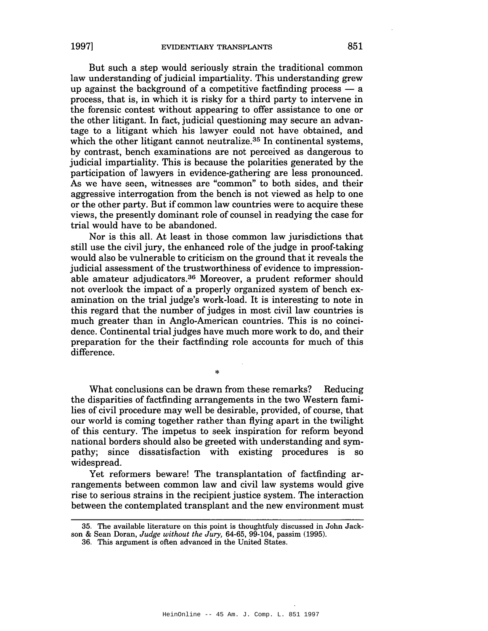But such a step would seriously strain the traditional common law understanding of judicial impartiality. This understanding grew up against the background of a competitive factfinding process  $-$  a process, that is, in which it is risky for a third party to intervene in the forensic contest without appearing to offer assistance to one or the other litigant. In fact, judicial questioning may secure an advantage to a litigant which his lawyer could not have obtained, and which the other litigant cannot neutralize.<sup>35</sup> In continental systems, by contrast, bench examinations are not perceived as dangerous to judicial impartiality. This is because the polarities generated by the participation of lawyers in evidence-gathering are less pronounced. As we have seen, witnesses are "common" to both sides, and their aggressive interrogation from the bench is not viewed as help to one or the other party. But if common law countries were to acquire these views, the presently dominant role of counsel in readying the case for trial would have to be abandoned.

Nor is this all. At least in those common law jurisdictions that still use the civil jury, the enhanced role of the judge in proof-taking would also be vulnerable to criticism on the ground that it reveals the judicial assessment of the trustworthiness of evidence to impressionable amateur adjudicators.36 Moreover, a prudent reformer should not overlook the impact of a properly organized system of bench examination on the trial judge's work-load. It is interesting to note in this regard that the number of judges in most civil law countries is much greater than in Anglo-American countries. This is no coincidence. Continental trial judges have much more work to do, and their preparation for the their factfinding role accounts for much of this difference.

What conclusions can be drawn from these remarks? Reducing the disparities of factfinding arrangements in the two Western families of civil procedure may well be desirable, provided, of course, that our world is coming together rather than flying apart in the twilight of this century. The impetus to seek inspiration for reform beyond national borders should also be greeted with understanding and sympathy; since dissatisfaction with existing procedures is so widespread.

\*

Yet reformers beware! The transplantation of factfinding arrangements between common law and civil law systems would give rise to serious strains in the recipient justice system. The interaction between the contemplated transplant and the new environment must

<sup>35.</sup> The available literature on this point is thoughtfuly discussed in John Jackson & Sean Doran, *Judge without the Jury,* 64-65,99-104, passim (1995).

<sup>36.</sup> This argument is often advanced in the United States.